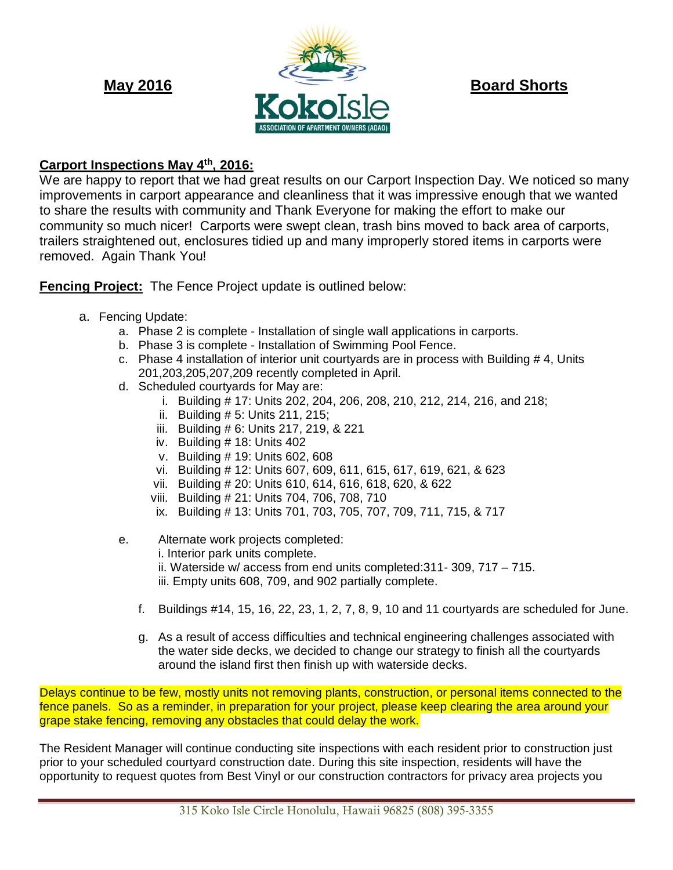

# **Carport Inspections May 4th, 2016:**

We are happy to report that we had great results on our Carport Inspection Day. We noticed so many improvements in carport appearance and cleanliness that it was impressive enough that we wanted to share the results with community and Thank Everyone for making the effort to make our community so much nicer! Carports were swept clean, trash bins moved to back area of carports, trailers straightened out, enclosures tidied up and many improperly stored items in carports were removed. Again Thank You!

**Fencing Project:** The Fence Project update is outlined below:

- a. Fencing Update:
	- a. Phase 2 is complete Installation of single wall applications in carports.
	- b. Phase 3 is complete Installation of Swimming Pool Fence.
	- c. Phase 4 installation of interior unit courtyards are in process with Building # 4, Units 201,203,205,207,209 recently completed in April.
	- d. Scheduled courtyards for May are:
		- i. Building # 17: Units 202, 204, 206, 208, 210, 212, 214, 216, and 218;
		- ii. Building # 5: Units 211, 215;
		- iii. Building # 6: Units 217, 219, & 221
		- iv. Building # 18: Units 402
		- v. Building # 19: Units 602, 608
		- vi. Building # 12: Units 607, 609, 611, 615, 617, 619, 621, & 623
		- vii. Building # 20: Units 610, 614, 616, 618, 620, & 622
		- viii. Building # 21: Units 704, 706, 708, 710
		- ix. Building # 13: Units 701, 703, 705, 707, 709, 711, 715, & 717
	- e. Alternate work projects completed:
		- i. Interior park units complete.
		- ii. Waterside w/ access from end units completed:311- 309, 717 715.
		- iii. Empty units 608, 709, and 902 partially complete.
		- f. Buildings #14, 15, 16, 22, 23, 1, 2, 7, 8, 9, 10 and 11 courtyards are scheduled for June.
		- g. As a result of access difficulties and technical engineering challenges associated with the water side decks, we decided to change our strategy to finish all the courtyards around the island first then finish up with waterside decks.

Delays continue to be few, mostly units not removing plants, construction, or personal items connected to the fence panels. So as a reminder, in preparation for your project, please keep clearing the area around your grape stake fencing, removing any obstacles that could delay the work.

The Resident Manager will continue conducting site inspections with each resident prior to construction just prior to your scheduled courtyard construction date. During this site inspection, residents will have the opportunity to request quotes from Best Vinyl or our construction contractors for privacy area projects you